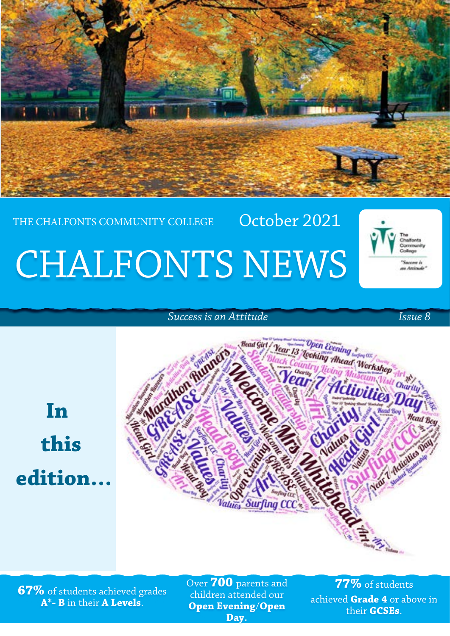

### THE CHALFONTS COMMUNITY COLLEGE

## CHALFONTS NEWS



*Success is an Attitude Issue 8* 

 **In this edition…**



October 2021

**67%** of students achieved grades **A\*- B** in their **A Levels**.

Over **700** parents and children attended our **Open Evening**/**Open Day**.

**77%** of students achieved **Grade 4** or above in their **GCSEs**.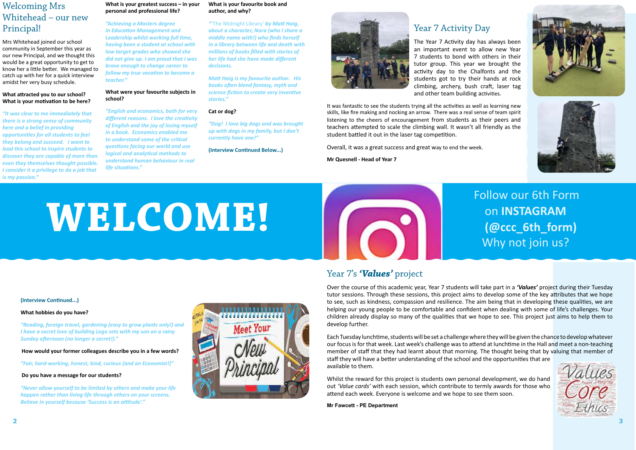### Follow our 6th Form on **INSTAGRAM** Why not join us?



### Year 7's *'Values'* project

Over the course of this academic year, Year 7 students will take part in a *'Values'* project during their Tuesday tutor sessions. Through these sessions, this project aims to develop some of the key attributes that we hope to see, such as kindness, compassion and resilience. The aim being that in developing these qualities, we are helping our young people to be comfortable and confident when dealing with some of life's challenges. Your children already display so many of the qualities that we hope to see. This project just aims to help them to develop further.

Each Tuesday lunchtime, students will be set a challenge where they will be given the chance to develop whatever our focus is for that week. Last week's challenge was to attend at lunchtime in the Hall and meet a non-teaching member of staff that they had learnt about that morning. The thought being that by valuing that member of staff they will have a better understanding of the school and the opportunities that are available to them.

Whilst the reward for this project is students own personal development, we do hand out *'Value cards'* with each session, which contribute to termly awards for those who attend each week. Everyone is welcome and we hope to see them soon.

**Mr Fawcett - PE Department**

### Welcoming Mrs Whitehead – our new Principal!

Mrs Whitehead joined our school community in September this year as our new Principal, and we thought this would be a great opportunity to get to know her a little better. We managed to catch up with her for a quick interview amidst her very busy schedule.

### **What attracted you to our school? What is your motivation to be here?**

*"It was clear to me immediately that there is a strong sense of community here and a belief in providing opportunities for all students to feel they belong and succeed. I want to lead this school to inspire students to discover they are capable of more than even they themselves thought possible. I consider it a privilege to do a job that is my passion."* 

#### **What is your greatest success – in your personal and professional life?**

*"Achieving a Masters degree in Education Management and Leadership whilst working full time, having been a student at school with low target grades who showed she did not give up. I am proud that I was brave enough to change career to follow my true vocation to become a teacher."*

### **What were your favourite subjects in school?**

*"English and economics, both for very different reasons. I love the creativity of English and the joy of losing myself in a book. Economics enabled me to understand some of the critical questions facing our world and use logical and analytical methods to understand human behaviour in real life situations."* 

### **What is your favourite book and author, and why?**

*"*'The Midnight Library' *by Matt Haig, about a character, Nora (who I share a middle name with!) who finds herself in a library between life and death with millions of books filled with stories of her life had she have made different decisions.* 

*Matt Haig is my favourite author. His books often blend fantasy, myth and science fiction to create very inventive stories."* 

### **Cat or dog?**

*"Dog! I love big dogs and was brought up with dogs in my family, but I don't currently have one!"* 

### **(Interview Continued Below...)**



### **(Interview Continued...)**

### **What hobbies do you have?**

*"Reading, foreign travel, gardening (easy to grow plants only!) and I have a secret love of building Lego sets with my son on a rainy Sunday afternoon (no longer a secret!)."*

**How would your former colleagues describe you in a few words?**

*"Fair, hard-working, honest, kind, curious (and an Economist!)"*

### **Do you have a message for our students?**

*"Never allow yourself to be limited by others and make your life happen rather than living life through others on your screens. Believe in yourself because 'Success is an attitude'."*



### Year 7 Activity Day

The Year 7 Activity day has always been an important event to allow new Year 7 students to bond with others in their tutor group. This year we brought the activity day to the Chalfonts and the students got to try their hands at rock climbing, archery, bush craft, laser tag and other team building activities.

It was fantastic to see the students trying all the activities as well as learning new skills, like fire making and nocking an arrow. There was a real sense of team spirit listening to the cheers of encouragement from students as their peers and teachers attempted to scale the climbing wall. It wasn't all friendly as the student battled it out in the laser tag competition.

Overall, it was a great success and great way to end the week.

**Mr Quesnell - Head of Year 7** 

# **WELCOME!**  $\begin{bmatrix} \bullet & \bullet & \bullet & \bullet\end{bmatrix}$  **COME!**





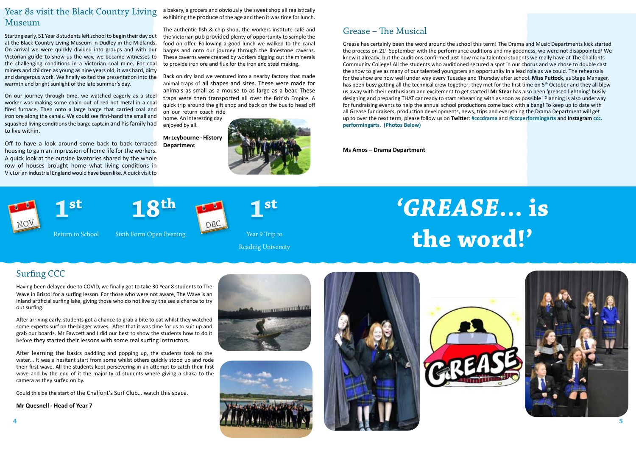## *'GREASE***... is the word!'**

### Grease – The Musical

Grease has certainly been the word around the school this term! The Drama and Music Departments kick started the process on 21<sup>st</sup> September with the performance auditions and my goodness, we were not disappointed! We knew it already, but the auditions confirmed just how many talented students we really have at The Chalfonts Community College! All the students who auditioned secured a spot in our chorus and we chose to double cast the show to give as many of our talented youngsters an opportunity in a lead role as we could. The rehearsals for the show are now well under way every Tuesday and Thursday after school. **Miss Puttock**, as Stage Manager, has been busy getting all the technical crew together; they met for the first time on 5<sup>th</sup> October and they all blew us away with their enthusiasm and excitement to get started! **Mr Stear** has also been 'greased lightning' busily designing and preparing THAT car ready to start rehearsing with as soon as possible! Planning is also underway for fundraising events to help the annual school productions come back with a bang! To keep up to date with all Grease fundraisers, production developments, news, trips and everything the Drama Department will get up to over the next term, please follow us on **Twitter**: **#cccdrama** and **#cccperformingarts** and **Instagram [ccc.](https://www.instagram.com/ccc.performingarts/) [performingarts.](https://www.instagram.com/ccc.performingarts/) (Photos Below)**

**Ms Amos – Drama Department**



Return to School Sixth Form Open Evening

Year 9 Trip to

Reading University

### Year 8s visit the Black Country Living Museum

Starting early, 51 Year 8 students left school to begin their day out at the Black Country Living Museum in Dudley in the Midlands. On arrival we were quickly divided into groups and with our Victorian guide to show us the way, we became witnesses to the challenging conditions in a Victorian coal mine. For coal miners and children as young as nine years old, it was hard, dirty and dangerous work. We finally exited the presentation into the warmth and bright sunlight of the late summer's day.

On our journey through time, we watched eagerly as a steel worker was making some chain out of red hot metal in a coal fired furnace. Then onto a large barge that carried coal and iron ore along the canals. We could see first-hand the small and squashed living conditions the barge captain and his family had to live within.

Off to have a look around some back to back terraced housing to gain an impression of home life for the workers. A quick look at the outside lavatories shared by the whole row of houses brought home what living conditions in Victorian industrial England would have been like. A quick visit to

a bakery, a grocers and obviously the sweet shop all realistically exhibiting the produce of the age and then it was time for lunch.

The authentic fish & chip shop, the workers institute café and the Victorian pub provided plenty of opportunity to sample the food on offer. Following a good lunch we walked to the canal barges and onto our journey through the limestone caverns. These caverns were created by workers digging out the minerals to provide iron ore and flux for the iron and steel making.

Back on dry land we ventured into a nearby factory that made animal traps of all shapes and sizes. These were made for animals as small as a mouse to as large as a bear. These traps were then transported all over the British Empire. A quick trip around the gift shop and back on the bus to head off on our return coach ride

home. An interesting day enjoyed by all.

**Mr Leybourne - History Department**



### Surfing CCC

Having been delayed due to COVID, we finally got to take 30 Year 8 students to The Wave in Bristol for a surfing lesson. For those who were not aware, The Wave is an inland artificial surfing lake, giving those who do not live by the sea a chance to try out surfing.

After arriving early, students got a chance to grab a bite to eat whilst they watched some experts surf on the bigger waves. After that it was time for us to suit up and grab our boards. Mr Fawcett and I did our best to show the students how to do it before they started their lessons with some real surfing instructors.

After learning the basics paddling and popping up, the students took to the water… It was a hesitant start from some whilst others quickly stood up and rode their first wave. All the students kept persevering in an attempt to catch their first wave and by the end of it the majority of students where giving a shaka to the camera as they surfed on by.

Could this be the start of the Chalfont's Surf Club… watch this space.

### **Mr Quesnell - Head of Year 7**













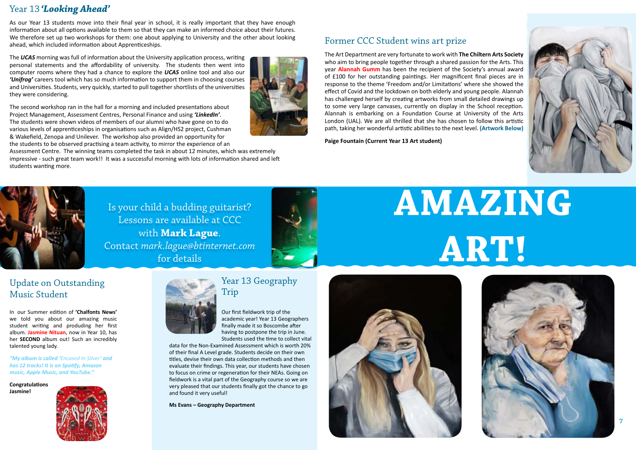Is your child a budding guitarist? Lessons are available at CCC with **Mark Lague**. Contact *mark.lague@btinternet.com*  for details



# **AMAZING ART!**

### Year 13 *'Looking Ahead'*

As our Year 13 students move into their final year in school, it is really important that they have enough information about all options available to them so that they can make an informed choice about their futures. We therefore set up two workshops for them: one about applying to University and the other about looking ahead, which included information about Apprenticeships.

The *UCAS* morning was full of information about the University application process, writing personal statements and the affordability of university. The students then went into computer rooms where they had a chance to explore the *UCAS* online tool and also our *'Unifrog'* careers tool which has so much information to support them in choosing courses and Universities. Students, very quickly, started to pull together shortlists of the universities they were considering.

The second workshop ran in the hall for a morning and included presentations about Project Management, Assessment Centres, Personal Finance and using *'LinkedIn'*. The students were shown videos of members of our alumni who have gone on to do various levels of apprenticeships in organisations such as Align/HS2 project, Cushman & Wakefield, Zenopa and Unilever. The workshop also provided an opportunity for the students to be observed practising a team activity, to mirror the experience of an

Assessment Centre. The winning teams completed the task in about 12 minutes, which was extremely impressive - such great team work!! It was a successful morning with lots of information shared and left students wanting more.



### Former CCC Student wins art prize

The Art Department are very fortunate to work with **The Chiltern Arts Society** who aim to bring people together through a shared passion for the Arts. This year **Alannah Gumm** has been the recipient of the Society's annual award of £100 for her outstanding paintings. Her magnificent final pieces are in response to the theme 'Freedom and/or Limitations' where she showed the effect of Covid and the lockdown on both elderly and young people. Alannah has challenged herself by creating artworks from small detailed drawings up to some very large canvases, currently on display in the School reception. Alannah is embarking on a Foundation Course at University of the Arts London (UAL). We are all thrilled that she has chosen to follow this artistic path, taking her wonderful artistic abilities to the next level. **(Artwork Below)**

**Paige Fountain (Current Year 13 Art student)**



### Update on Outstanding Music Student

In our Summer edition of **'Chalfonts News'** we told you about our amazing music student writing and produding her first album. **Jasmine Nituan**, now in Year 10, has her **SECOND** album out! Such an incredibly talented young lady.

*"My album is called 'Encased In Silver' and has 12 tracks! It is on Spotify, Amazon music, Apple Music, and YouTube."*

**Congratulations Jasmine!**





### Year 13 Geography Trip

Our first fieldwork trip of the academic year! Year 13 Geographers finally made it so Boscombe after having to postpone the trip in June. Students used the time to collect vital

data for the Non-Examined Assessment which is worth 20% of their final A Level grade. Students decide on their own titles, devise their own data collection methods and then evaluate their findings. This year, our students have chosen to focus on crime or regeneration for their NEAs. Going on fieldwork is a vital part of the Geography course so we are very pleased that our students finally got the chance to go and found it very useful!

**Ms Evans – Geography Department**